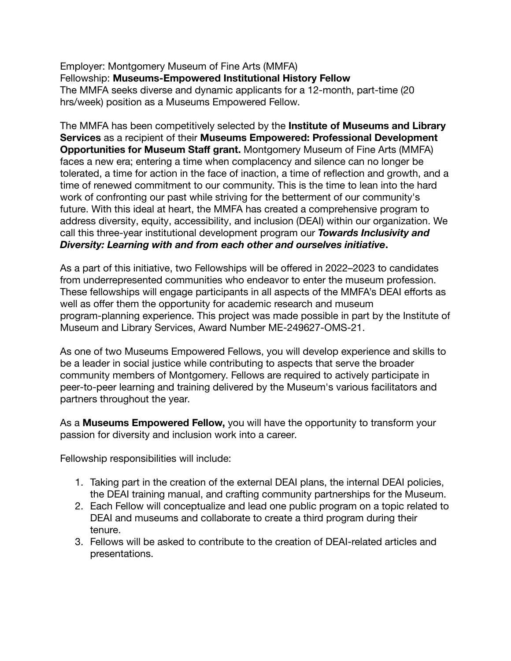Employer: Montgomery Museum of Fine Arts (MMFA) Fellowship: **Museums-Empowered Institutional History Fellow** The MMFA seeks diverse and dynamic applicants for a 12-month, part-time (20 hrs/week) position as a Museums Empowered Fellow.

The MMFA has been competitively selected by the **Institute of Museums and Library Services** as a recipient of their **Museums Empowered: Professional Development Opportunities for Museum Staff grant.** Montgomery Museum of Fine Arts (MMFA) faces a new era; entering a time when complacency and silence can no longer be tolerated, a time for action in the face of inaction, a time of reflection and growth, and a time of renewed commitment to our community. This is the time to lean into the hard work of confronting our past while striving for the betterment of our community's future. With this ideal at heart, the MMFA has created a comprehensive program to address diversity, equity, accessibility, and inclusion (DEAI) within our organization. We call this three-year institutional development program our *Towards Inclusivity and Diversity: Learning with and from each other and ourselves initiative***.**

As a part of this initiative, two Fellowships will be offered in 2022–2023 to candidates from underrepresented communities who endeavor to enter the museum profession. These fellowships will engage participants in all aspects of the MMFA's DEAI efforts as well as offer them the opportunity for academic research and museum program-planning experience. This project was made possible in part by the Institute of Museum and Library Services, Award Number ME-249627-OMS-21.

As one of two Museums Empowered Fellows, you will develop experience and skills to be a leader in social justice while contributing to aspects that serve the broader community members of Montgomery. Fellows are required to actively participate in peer-to-peer learning and training delivered by the Museum's various facilitators and partners throughout the year.

As a **Museums Empowered Fellow,** you will have the opportunity to transform your passion for diversity and inclusion work into a career.

Fellowship responsibilities will include:

- 1. Taking part in the creation of the external DEAI plans, the internal DEAI policies, the DEAI training manual, and crafting community partnerships for the Museum.
- 2. Each Fellow will conceptualize and lead one public program on a topic related to DEAI and museums and collaborate to create a third program during their tenure.
- 3. Fellows will be asked to contribute to the creation of DEAI-related articles and presentations.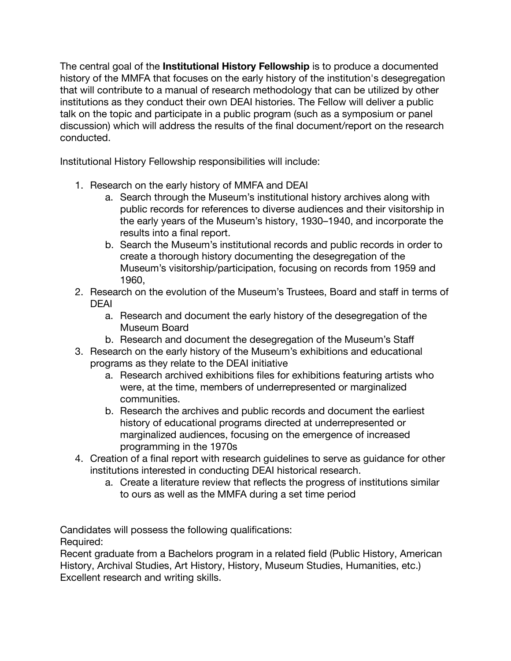The central goal of the **Institutional History Fellowship** is to produce a documented history of the MMFA that focuses on the early history of the institution's desegregation that will contribute to a manual of research methodology that can be utilized by other institutions as they conduct their own DEAI histories. The Fellow will deliver a public talk on the topic and participate in a public program (such as a symposium or panel discussion) which will address the results of the final document/report on the research conducted.

Institutional History Fellowship responsibilities will include:

- 1. Research on the early history of MMFA and DEAI
	- a. Search through the Museum's institutional history archives along with public records for references to diverse audiences and their visitorship in the early years of the Museum's history, 1930–1940, and incorporate the results into a final report.
	- b. Search the Museum's institutional records and public records in order to create a thorough history documenting the desegregation of the Museum's visitorship/participation, focusing on records from 1959 and 1960,
- 2. Research on the evolution of the Museum's Trustees, Board and staff in terms of DEAI
	- a. Research and document the early history of the desegregation of the Museum Board
	- b. Research and document the desegregation of the Museum's Staff
- 3. Research on the early history of the Museum's exhibitions and educational programs as they relate to the DEAI initiative
	- a. Research archived exhibitions files for exhibitions featuring artists who were, at the time, members of underrepresented or marginalized communities.
	- b. Research the archives and public records and document the earliest history of educational programs directed at underrepresented or marginalized audiences, focusing on the emergence of increased programming in the 1970s
- 4. Creation of a final report with research guidelines to serve as guidance for other institutions interested in conducting DEAI historical research.
	- a. Create a literature review that reflects the progress of institutions similar to ours as well as the MMFA during a set time period

Candidates will possess the following qualifications: Required:

Recent graduate from a Bachelors program in a related field (Public History, American History, Archival Studies, Art History, History, Museum Studies, Humanities, etc.) Excellent research and writing skills.